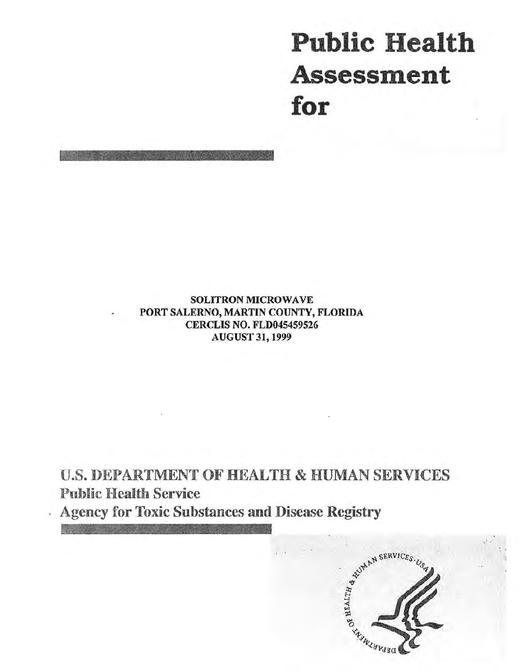# **Public Health Assessment for**

SOLITRON MICROWAVE PORT SALERNO, MARTIN COUNTY, FLORIDA CERCLIS NO. FLD045459526 AUGUST 31, 1999

U.S. DEPARTMENT OF HEALTH & HUMAN SERVICES Public Health Service



. '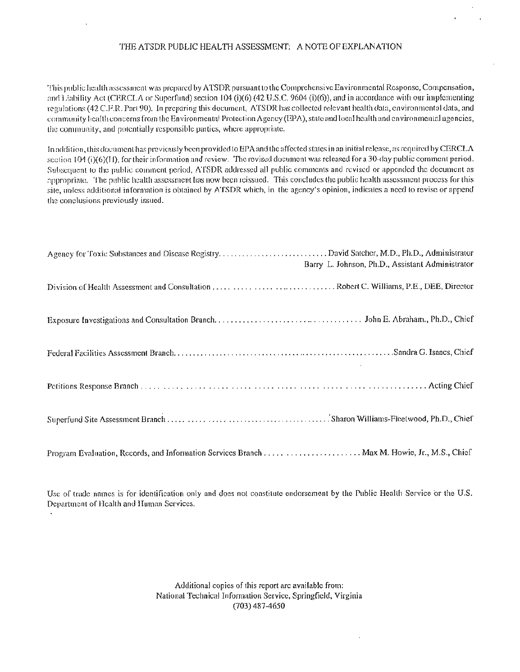#### THE ATSDR PUBLIC HEALTH ASSESSMENT: A NOTE OF EXPLANATION

This public health assessment was prepared by ATSDR pursuant to the Comprehensive Environmental Response, Compensation, and Liability Act (CERCLA or Superfund) section 104 (i)(6) (42 U.S.C. 9604 (i)(6)), and in accordance with our implementing regulations (42 C.P.R. Part90). In preparing this document, ATSDR has collected relevant health data, environmental data, and community health concerns from the Environmental Protection Agency (EPA), state and local health and environmental agencies, the community, and potentially responsible parties, where appropriate.

1n addition, this document has previously heen provided to EPA and the affected states in an initial release, as required byCERCLA  $s$ cction  $104$  (i)(6)(I), for their information and review. The revised document was released for a 30-day public comment period. Subsequent to the public comment period, ATSDR addressed all public comments and revised or appended the document as appropriate. The public health assessment has now been reissued. This concludes the public health assessment process for this site, unless additional information is obtained by ATSDR which, in the agency's opinion, indicates a need to revise or append the conclusions previously issued.

| Agency for Toxic Substances and Disease Registry. David Satcher, M.D., Ph.D., Administrator<br>Barry L. Johnson, Ph.D., Assistant Administrator |
|-------------------------------------------------------------------------------------------------------------------------------------------------|
|                                                                                                                                                 |
|                                                                                                                                                 |
|                                                                                                                                                 |
|                                                                                                                                                 |
|                                                                                                                                                 |
| Program Evaluation, Records, and Information Services Branch  Max M. Howie, Jr., M.S., Chief                                                    |

Usc of trade names is for identification only and docs not constitute endorsement by the Public Health Service or the U.S. Department of Health and Human Services.

> Additional copies of this report are available from: National Technical Information Service, Springfield, Virginia (703) 487-4650

> > $\cdot$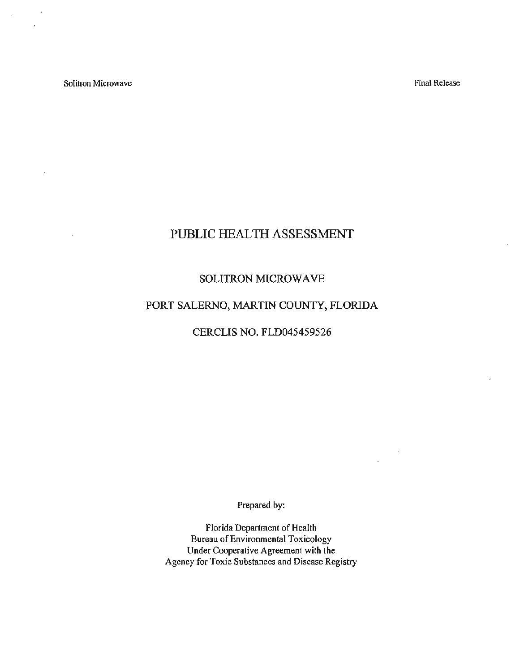Solitron Microwave

 $\ddot{\phantom{a}}$ 

 $\overline{a}$ 

 $\mathcal{L}$ 

Final Release

# PUBLIC HEALTH ASSESSMENT

## SOLITRON MICROWAVE

# PORT SALERNO, MARTIN COUNTY, FLORIDA

CERCLIS NO. FLD045459526

Prepared by:

Florida Department of Health Bureau of Environmental Toxicology Under Cooperative Agreement with the Agency for Toxic Substances and Disease Registry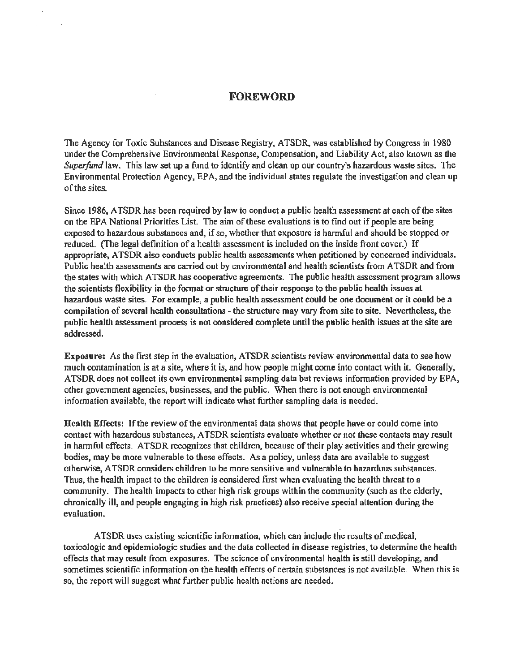#### **FOREWORD**

 $\sim$ 

The Agency for Toxic Substances and Disease Registry, ATSDR, was established by Congress in 1980 under the Comprehensive Environmentai Response, Compensation, and Liability Act, also known as the *Superfund* law. This law set up a fund to identify and clean up our country's hazardous waste sites. The Environmental Protection Agency, EPA, and the individual states regulate the investigation and clean up of the sites.

Since 1986, ATSDR has been required by law to conduct a public health assessment at each of the sites on the EPA National Priorities List. The aim of these evaluations is to find out if people are being exposed to hazardous substances and, if so, whether that exposure is harmful and should be stopped or reduced. (The legal definition of a health assessment is included on the inside front cover.) If appropriate, A TSDR also conducts public health assessments when petitioned by concerned individuals. Public health assessments are carried out by environmental and health scientists from A TSDR and from the states with which ATSDR has cooperative agreements. The public health assessment program allows the scientists flexibility in the format or structure of their response to the public health issues at hazardous waste sites. For example, a public health assessment could be one document or it could be a compilation of several health consultations - the structure may vary from site to site. Nevertheless, the public health assessment process is not considered complete until the public health issues at the site are addressed.

Exposure: As the first step in the evaluation, ATSDR scientists review environmental data to see how much contamination is at a site, where it is, and how people might come into contact with it. Generally, A TSDR does not collect its own environmental sampling data but reviews information provided by EPA, other government agencies, businesses, and the public. When there is not enough environmental information available, the report will indicate what further sampling data is needed.

Health Effects: If the review of the environmental data shows that people have or could come into contact with hazardous substances, ATSDR scientists evaluate whether or not these contacts may result in harmful effects. ATSDR recognizes that children, because of their play activities and their growing bodies, may be more vulnerable to these effects. As a policy, unless data are available to suggest otherwise, ATSDR considers children to be more sensitive and vulnerable to hazardous substances. Thus, the health impact to the children is considered first when evaluating the health threat to a community. The health impacts to other high risk groups within the community (such as the elderly, chronically ill, and people engaging in high risk practices) also receive special attention during the evaluation.

A TSDR uses existing scientific information, which can include the results of medical, toxicologic and epidemiologic studies and the data collected in disease registries, to determine the health effects that may result from exposures. The science of environmental health is still developing, and sometimes scientific information on the health effects of certain substances is not available. When this is so, the report will suggest what further public health actions are needed.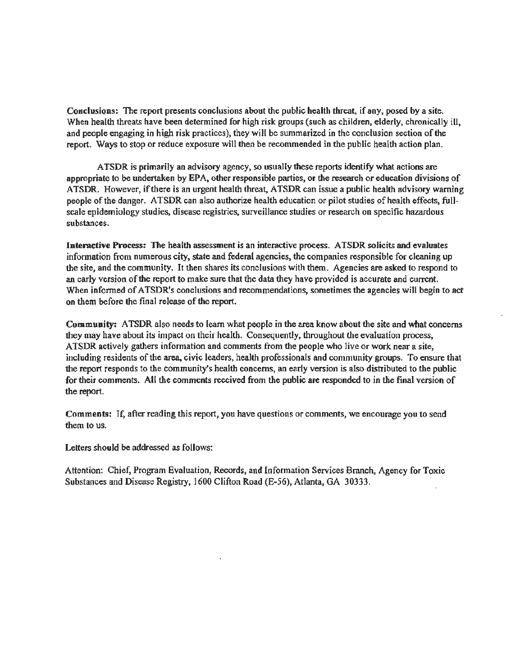Conclusions: The report presents conclusions about the public health threat, if any, posed by a site. When health threats have been determined for high risk groups (such as children, elderly, chronically ill, and people engaging in high risk practices), they will be summarized in the conclusion section of the report. Ways to stop or reduce exposure will then be recommended in the public health action plan.

A TSDR is primarily an advisory agency, so usually these reports identify what actions are appropriate to be undertaken by EPA, other responsible parties, or the research or education divisions of ATSDR. However, if there is an urgent health threat, ATSDR can issue a public health advisory warning people of the danger. A TSDR can also authorize health education or pilot studies of health effects, fullscale epidemiology studies, disease registries, surveillance studies or research on specific hazardous substances.

Interactive Process: The health assessment is an interactive process. ATSDR solicits and evaluates infonnation from numerous city, state and federal agencies, the companies responsible for cleaning up the site, and the community. It then shares its conclusions with them. Agencies are asked to respond to an early version of the report to make sure that the data they have provided is accurate and current. When informed of ATSDR's conclusions and recommendations, sometimes the agencies will begin to act on them before the final release of the report

Community: ATSDR also needs to learn what people in the area know about the site and what concerns they may have about its impact on their health. Consequently, throughout the evaluation process, ATSDR actively gathers infonnation and comments from the people who live or work near a site, including residents of the area, civic leaders, health professionals and community groups. To ensure that the report responds to the community's health concerns, an early version is also distributed to the public for their comments. All the comments received from the public are responded to in the fmal version of the report.

Comments: If, after reading this report, you have questions or comments, we encourage you to send them to us.

Letters should be addressed as follows:

Attention: Chief, Program Evaluation, Records, and Information Services Branch, Agency for Toxic Substances and Disease Registry, 1600 Clifton Road (E-56), Atlanta, GA 30333.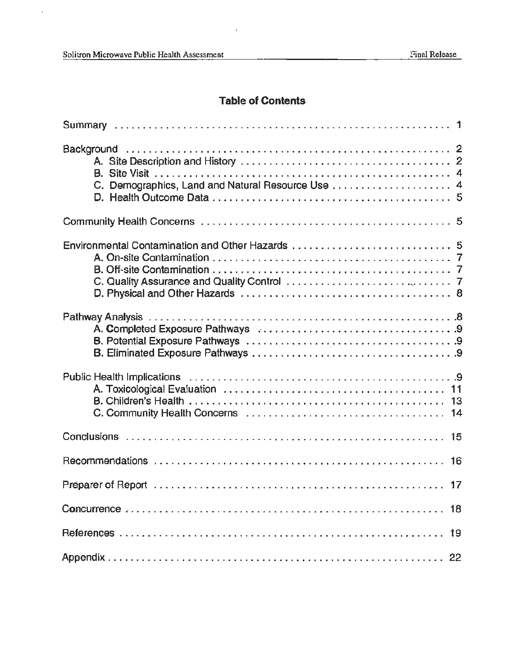$\hat{\boldsymbol{\beta}}$ 

# **Table of Contents**

 $\cdot$ 

| C. Demographics, Land and Natural Resource Use  4 |
|---------------------------------------------------|
|                                                   |
| Environmental Contamination and Other Hazards  5  |
|                                                   |
|                                                   |
|                                                   |
|                                                   |
|                                                   |
|                                                   |
| 19                                                |
|                                                   |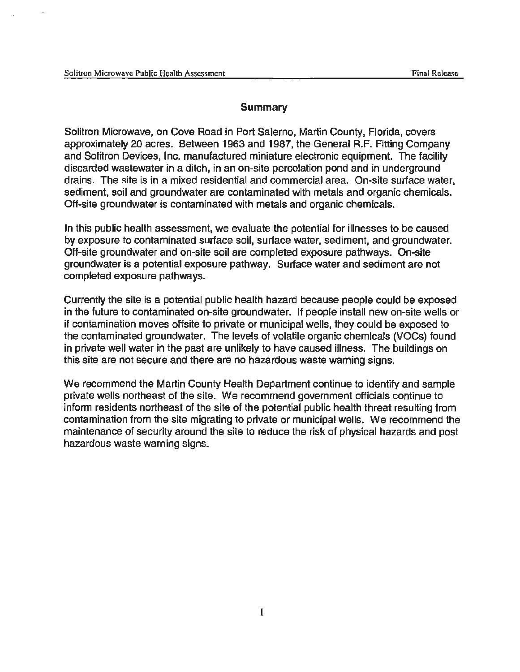#### **Summary**

Solitron Microwave, on Cove Road in Port Salerno, Martin County, Florida, covers approximately 20 acres. Between 1963 and 1987, the General R.F. Fitting Company and Solitron Devices, Inc. manufactured miniature electronic equipment. The facility discarded wastewater in a ditch, in an on-site percolation pond and in underground drains. The site is in a mixed residential and commercial area. On-site surface water, sediment, soil and groundwater are contaminated with metals and organic chemicals. Off-site groundwater is contaminated with metals and organic chemicals.

In this public health assessment, we evaluate the potential for illnesses to be caused by exposure to contaminated surface soil, surface water, sediment, and groundwater. Off-site groundwater and on-site soil are completed exposure pathways. On-site groundwater is a potential exposure pathway. Surface water and sediment are not completed exposure pathways.

Currently the site is a potential public health hazard because people could be exposed in the future to contaminated on-site groundwater. If people install new on-site wells or if contamination moves offsite to private or municipal wells, they could be exposed to the contaminated groundwater. The levels of volatile organic chemicals (VOCs) found in private well water in the past are unlikely to have caused illness. The buildings on this site are not secure and there are no hazardous waste warning signs.

We recommend the Martin County Health Department continue to identify and sample private wells northeast of the site. We recommend government officials continue to inform residents northeast of the site of the potential public health threat resulting from contamination from the site migrating to private or municipal wells. We recommend the maintenance of security around the site to reduce the risk of physical hazards and post hazardous waste warning signs.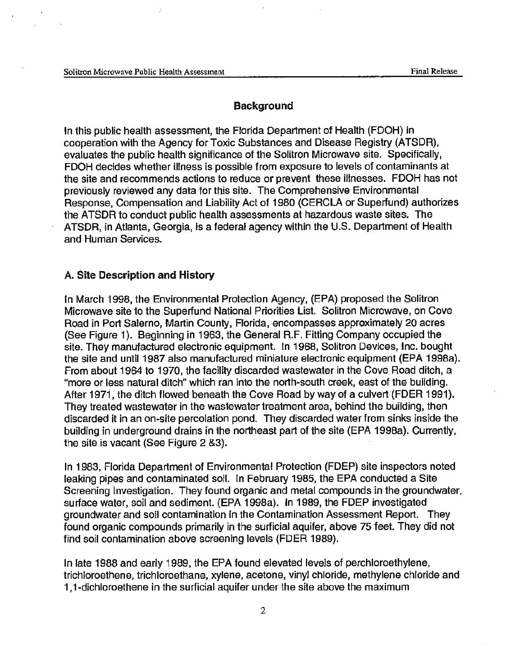#### **Background**

In this public health assessment, the Florida Department of Health (FDOH) in cooperation with the Agency for Toxic Substances and Disease Registry (ATSDR), evaluates the public health significance of the Solitron Microwave site. Specifically, FDOH decides whether illness is possible from exposure to levels of contaminants at the site and recommends actions to reduce or prevent these illnesses. FDOH has not previously reviewed any data for this site. The Comprehensive Environmental Response, Compensation and Liability Act of 1980 (CERCLA or Superfund). authorizes the ATSDR to conduct public health assessments at hazardous waste sites. The ATSDR, in Atlanta, Georgia, is a federal agency within the U.S. Department of Health and Human Services.

## A. Site Description and History

In March 1998, the Environmental Protection Agency, (EPA) proposed the Solitron Microwave site to the Superfund National Priorities List. Solitron Microwave, on Cove Road in Port Salerno, Martin County, Florida, encompasses approximately 20 acres (See Figure 1). Beginning in 1963, the General R.F. Fitting Company occupied the site. They manufactured electronic equipment. In 1968, Solitron Devices, Inc. bought the site and until 1987 also manufactured miniature electronic equipment (EPA 1998a). From about 1964 to 1970, the facility discarded wastewater in the Cove Road ditch, a "more or less natural ditch" which ran into the north-south creek, east of the building. After 1971, the ditch flowed beneath the Cove Road by way of a culvert (FDER 1991). They treated wastewater in the wastewater treatment area, behind the building, then discarded it in an on-site percolation pond. They discarded water from sinks inside the building in underground drains in the northeast part of the site (EPA 1998a). Currently, the site is vacant (See Figure 2 &3).

In 1983, Florida Department of Environmental Protection (FDEP) site inspectors noted leaking pipes and contaminated soil. In February 1985, the EPA conducted a Site Screening Investigation. They found organic and metal compounds in the groundwater, surface water, soil and sediment. (EPA 1998a). In 1989, the FDEP investigated groundwater and soil contamination in the Contamination Assessment Report. They found organic compounds primarily in the surficial aquifer, above 75 feet. They did not find soil contamination above screening levels (FDER 1989).

In late 1988 and early 1989, the EPA found elevated levels of perchloroethylene, trichloroethene, trichloroethane, xylene, acetone, vinyl chloride, methylene chloride and 1, 1-dichloroethene in the surficial aquifer under the site above the maximum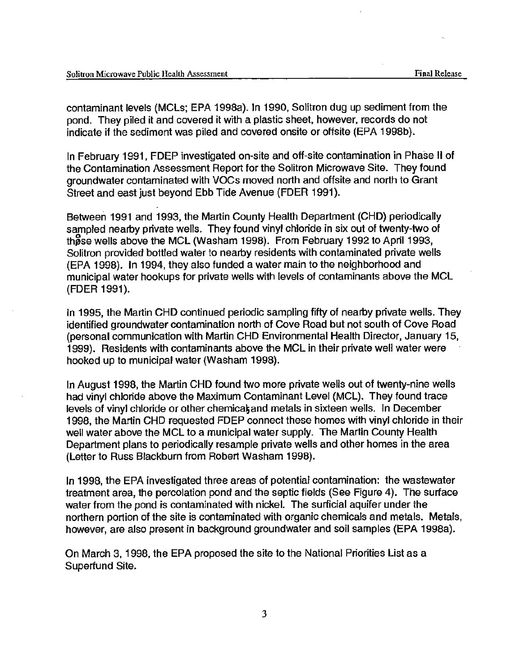contaminant levels (MCLs; EPA 1998a). In 1990, Solitron dug up sediment from the pond. They piled it and covered it with a plastic sheet, however, records do not indicate if the sediment was piled and covered onsite or offsite (EPA 1998b).

In February 1991, FDEP investigated on-site and off-site contamination in Phase II of the Contamination Assessment Report for the Solitron Microwave Site. They found groundwater contaminated with VOCs moved north and offsite and north to Grant Street and east just beyond Ebb Tide Avenue (FDER 1991).

Between 1991 and 1993, the Martin County Health Department (CHD) periodically sampled nearby private wells. They found vinyl chloride in six out of twenty-two of these wells above the MCL (Washam 1998). From February 1992 to April 1993, Solitron provided bottled water to nearby residents with contaminated private wells (EPA 1998). In 1994, they also funded a water main to the neighborhood and municipal water hookups for private wells with levels of contaminants above the MCL (FDER 1991).

In 1995, the Martin CHD continued periodic sampling fifty of nearby private wells. They identified groundwater contamination north of Cove Road but not south of Cove Road (personal communication with Martin CHD Environmental Health Director, January 15, 1999). Residents with contaminants above the MCLin their private well water were hooked up to municipal water (Washam 1998).

In August 1998, the Martin CHD found two more private wells out of twenty-nine wells had vinyl chloride above the Maximum Contaminant Level (MCL). They found trace levels of vinyl chloride or other chemicak and metals in sixteen wells. In December 1998, the Martin CHD requested FDEP connect these homes with vinyl chloride in their well water above the MCL to a municipal water supply. The Martin County Health Department plans to periodically resample private wells and other homes in the area (Letter to Russ Blackburn from Robert Washam 1998).

In 1998, the EPA investigated three areas of potential contamination: the wastewater treatment area, the percolation pond and the septic fields (See Figure 4). The surface water from the pond is contaminated with nickel. The surficial aquifer under the northern portion of the site is contaminated with organic chemicals and metals. Metals, however, are also present in background groundwater and soil samples (EPA 1998a).

On March 3, 1998, the EPA proposed the site to the National Priorities List as a Superfund Site.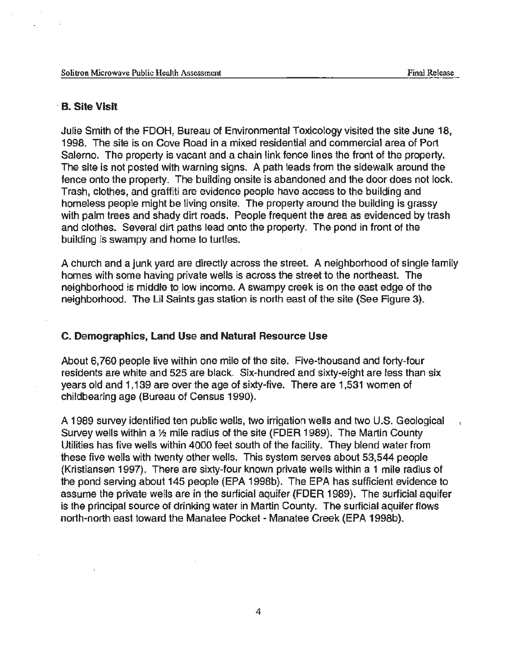#### · B. Site Visit

Julie Smith of the FDOH, Bureau of Environmental Toxicology visited the site June 18, 1998. The site is on Cove Road in a mixed residential and commercial area of Port Salerno. The property is vacant and a chain link fence lines the front of the property. The site is not posted with warning signs. A path leads from the sidewalk around the fence onto the property. The building onsite is abandoned and the door does not lock. Trash, clothes, and graffiti are evidence people have access to the building and homeless people might be living onsite. The property around the building is grassy with palm trees and shady dirt roads. People frequent the area as evidenced by trash and clothes. Several dirt paths lead onto the property. The pond in front of the building is swampy and home to turtles.

A church and a junk yard are directly across the street. A neighborhood of single family homes with some having private wells is across the street to the northeast. The neighborhood is middle to low income. A swampy creek is on the east edge of the neighborhood. The Lil Saints gas station is north east of the site (See Figure 3).

#### C. Demographics, Land Use and Natural Resource Use

About 6, 760 people live within one mile of the site. Five-thousand and forty-four residents are white and 525 are black. Six-hundred and sixty-eight are less than six years old and 1,139 are over the age of sixty-five. There are 1,531 women of childbearing age (Bureau of Census 1990).

A 1989 survey identified ten public wells, two irrigation wells and two U.S. Geological Survey wells within a 1/2 mile radius of the site (FDER 1989). The Martin County Utilities has five wells within 4000 feet south of the facility. They blend water from these five wells with twenty other wells. This system serves about 53,544 people (Kristiansen 1997). There are sixty-four known private wells within a 1 mile radius of the pond serving about 145 people (EPA 1998b). The EPA has sufficient evidence to assume the private wells are in the surficial aquifer (FDER 1989). The surficial aquifer is the principal source of drinking water in Martin County. The surficial aquifer flows north-north east toward the Manatee Pocket- Manatee Creek (EPA 1998b).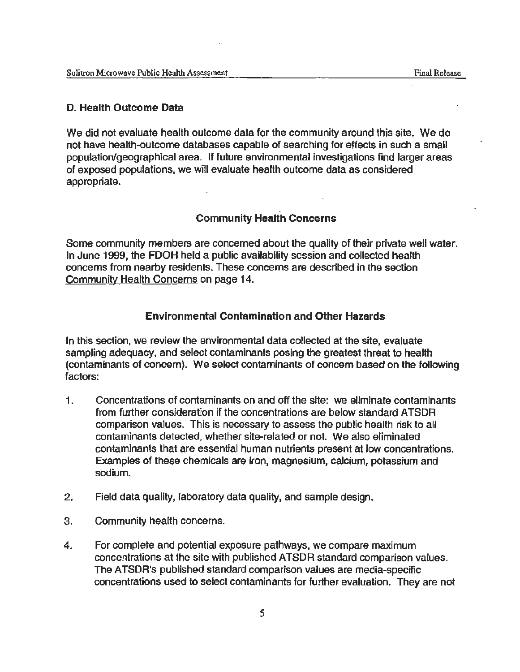## **D. Health Outcome Data**

We did not evaluate health outcome data for the community around this site. We do not have health-outcome databases capable of searching for effects in such a small population/geographical area. If future environmental investigations find larger areas of exposed populations, we will evaluate health outcome data as considered appropriate.

## **Community Health Concerns**

Some community members are concerned about the quality of their private well water. In June 1999, the FDOH held a public availability session and collected health concerns from nearby residents. These concerns are described in the section Community Health Concerns on page 14.

## **Environmental Contamination and Other Hazards**

In this section, we review the environmental data collected at the site, evaluate sampling adequacy, and select contaminants posing the greatest threat to health (contaminants of concern). We select contaminants of concern based on the following factors:

- 1. Concentrations of contaminants on and off the site: we eliminate contaminants from further consideration if the concentrations are below standard ATSDR. comparison values. This is necessary to assess the public health risk to all contaminants detected, whether site-related or not. We also eliminated contaminants that are essential human nutrients present at low concentrations. Examples of these chemicals are iron, magnesium, calcium, potassium and sodium.
- 2. Field data quality, laboratory data quality, and sample design.
- 3. Community health concerns.
- 4. For complete and potential exposure pathways, we compare maximum concentrations at the site with published ATSDR standard comparison values. The ATSDR's published standard comparison values are media-specific concentrations used to select contaminants for further evaluation. They are not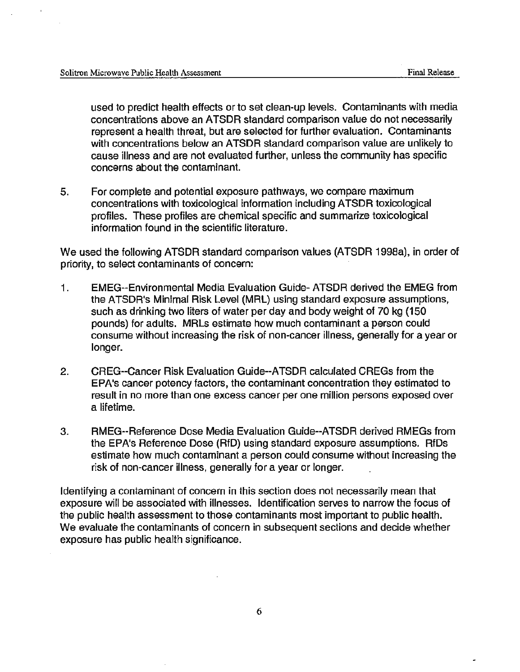used to predict health effects or to set clean-up levels. Contaminants with media concentrations above an ATSDR standard comparison value do not necessarily represent a health threat, but are selected for further evaluation. Contaminants with concentrations below an ATSDR standard comparison value are unlikely to cause illness and are not evaluated further, unless the community has specific concerns about the contaminant.

5. For complete and potential exposure pathways, we compare maximum concentrations with toxicological information including ATSDR toxicological profiles. These profiles are chemical specific and summarize toxicological information found in the scientific literature.

We used the following ATSDR standard comparison values (ATSDR 1998a), in order of priority, to select contaminants of concern:

- 1. EMEG--Environmental Media Evaluation Guide- ATSDR derived the EMEG from the ATSDR's Minimal Risk Level (MRL) using standard exposure assumptions, such as drinking two liters of water per day and body weight of 70 kg (150 pounds) for adults. MRLs estimate how much contaminant a person could consume without increasing the risk of non-cancer illness, generally for a year or longer.
- 2. GREG--Cancer Risk Evaluation Guide--ATSDR calculated CREGs from the EPA's cancer potency factors, the contaminant concentration they estimated to result in no more than one excess cancer per one million persons exposed over a lifetime.
- 3. RMEG--Reference Dose Media Evaluation Guide--ATSDR derived RMEGs from the EPA's Reference Dose (RfD) using standard exposure assumptions. RfDs estimate how much contaminant a person could consume without increasing the risk of non-cancer illness, generally for a year or longer.

Identifying a contaminant of concern in this section does not necessarily mean that exposure will be associated with illnesses. Identification serves to narrow the focus of the public health assessment to those contaminants most important to public health. We evaluate the contaminants of concern in subsequent sections and decide whether exposure has public health significance.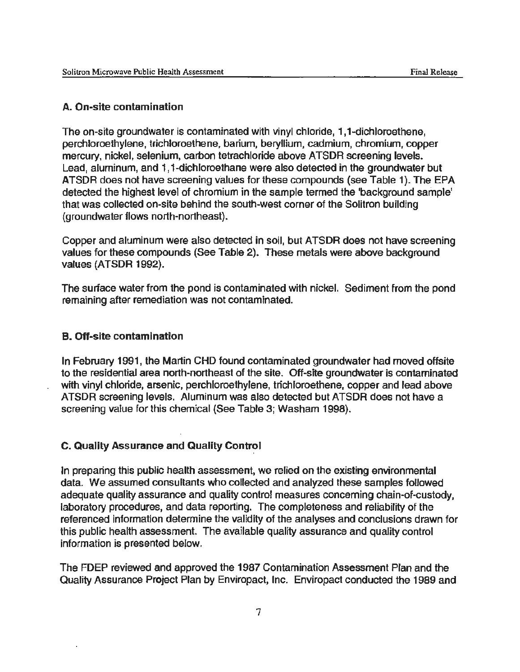## A. On-site contamination

The on-site groundwater is contaminated with vinyl chloride, 1, 1-dichloroethene, perchloroethylene, trichloroethane, barium, beryllium, cadmium, chromium, copper mercury, nickel, selenium, carbon tetrachloride above ATSDR screening levels. Lead, aluminum, and 1, 1-dichloroethane were also detected in the groundwater but ATSDR does not have screening values for these compounds (see Table 1). The EPA detected the highest level of chromium in the sample termed the 'background sample' that was collected on-site behind the south-west corner of the Solitron building (groundwater flows north-northeast).

Copper and aluminum were also detected in soil, but ATSDR does not have screening values for these compounds (See Table 2). These metals were above background values (ATSDR 1992).

The surface water from the pond is contaminated with nickel. Sediment from the pond remaining after remediation was not contaminated.

#### B. Off-site contamination

In February 1991, the Martin CHD found contaminated groundwater had moved offsite to the residential area north-northeast of the site. Off-site groundwater is contaminated with vinyl chloride, arsenic, perchloroethylene, trichloroethene, copper and lead above ATSDR screening levels. Aluminum was also detected but ATSDR does not have a screening value for this chemical (See Table 3; Washam 1998).

### C. Quality Assurance and Quality Control

In preparing this public health assessment, we relied on the existing environmental data. We assumed consultants who collected and analyzed these samples followed adequate quality assurance and quality control measures concerning chain-of-custody, laboratory procedures, and data reporting. The completeness and reliability of the referenced information determine the validity of the analyses and conclusions drawn for this public health assessment. The available quality assurance and quality control information is presented below.

The FDEP reviewed and approved the 1987 Contamination Assessment Plan and the Quality Assurance Project Plan by Enviropact, Inc. Enviropact conducted the 1989 and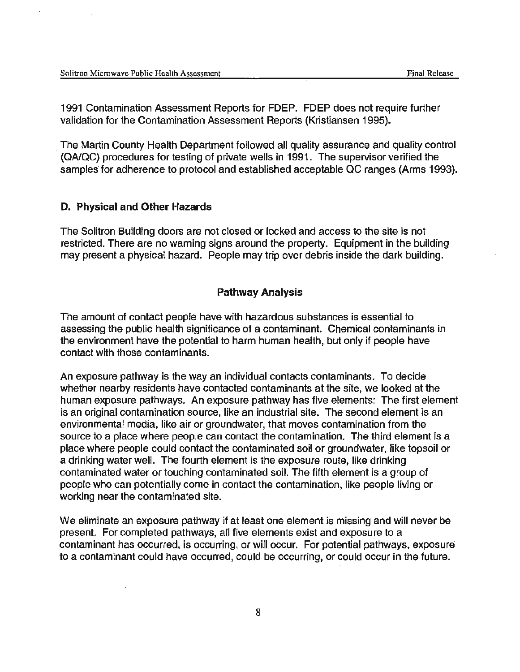1991 Contamination Assessment Reports for FDEP. FDEP does not require further validation for the Contamination Assessment Reports (Kristiansen 1995).

. The Martin County Health Department followed all quality assurance and quality control (QA/QC) procedures for testing of private wells in 1991. The supervisor verified the samples for adherence to protocol and established acceptable QC ranges (Arms 1993).

### **D. Physical and Other Hazards**

The Solitron Building doors are not closed or locked and access to the site is not restricted. There are no warning signs around the property. Equipment in the building may present a physical hazard. People may trip over debris inside the dark building.

#### **Pathway Analysis**

The amount of contact people have with hazardous substances is essential to assessing the public health significance of a contaminant. Chemical contaminants in the environment have the potential to harm human health, but only if people have contact with those contaminants.

An exposure pathway is the way an individual contacts contaminants. To decide whether nearby residents have contacted contaminants at the site, we looked at the human exposure pathways. An exposure pathway has five elements: The first element is an original contamination source, like an industrial site. The second element is an environmental media, like air or groundwater, that moves contamination from the source to a place where people can contact the contamination. The third element is a place where people could contact the contaminated soil or groundwater, like topsoil or a drinking water well. The fourth element is the exposure route, like drinking contaminated water or touching contaminated soil. The fifth element is a group of people who can potentially come in contact the contamination, like people living or working near the contaminated site.

We eliminate an exposure pathway if at least one element is missing and will never be present. For completed pathways, all five elements exist and exposure to a contaminant has occurred, is occurring, or will occur. For potential pathways, exposure to a contaminant could have occurred, could be occurring, or could occur in the future.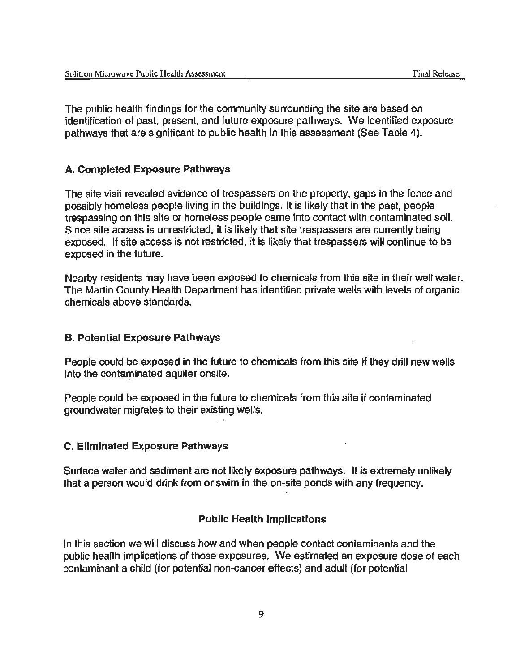The public health findings for the community surrounding the site are based on identification of past, present, and future exposure pathways. We identified exposure pathways that are significant to public health in this assessment (See Table 4).

## A. Completed Exposure Pathways

The site visit revealed evidence of trespassers on the property, gaps in the fence and possibly homeless people living in the buildings. It is likely that in the past, people trespassing on this site or homeless people came into contact with contaminated soil. Since site access is unrestricted, it is likely that site trespassers are currently being exposed. If site access is not restricted, it is likely that trespassers will continue to be exposed in the future.

Nearby residents may have been exposed to chemicals from this site in their well water. The Martin County Health Department has identified private wells with levels of organic chemicals above standards.

#### B. Potential Exposure Pathways

People could be exposed in the future to chemicals from this site if they drill new wells into the contaminated aquifer onsite.

People could be exposed in the future to chemicals from this site if contaminated groundwater migrates to their existing wells.

#### C. Eliminated Exposure Pathways

Surface water and sediment are not likely exposure pathways. It is extremely unlikely that a person would drink from or swim in the on-site ponds with any frequency.

#### Public Health Implications

In this section we will discuss how and when people contact contaminants and the public health implications of those exposures. We estimated an exposure dose of each contaminant a child (for potential non-cancer effects) and adult (for potential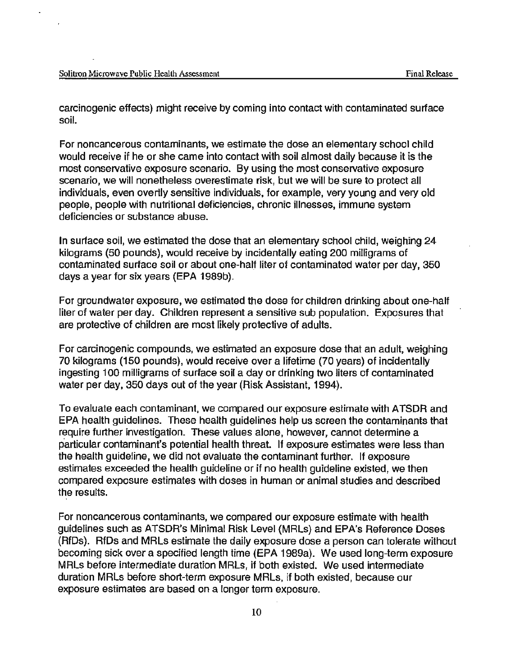carcinogenic effects) might receive by coming into contact with contaminated surface soil.

For noncancerous contaminants, we estimate the dose an elementary school child would receive if he or she came into contact with soil almost daily because it is the most conservative exposure scenario. By using the most conservative exposure scenario, we will nonetheless overestimate risk, but we will be sure to protect all individuals, even overtly sensitive individuals, for example, very young and very old people, people with nutritional deficiencies, chronic illnesses, immune system deficiencies or substance abuse.

In surface soil, we estimated the dose that an elementary school child, weighing 24 kilograms (50 pounds), would receive by incidentally eating 200 milligrams of contaminated surface soil or about one-half liter of contaminated water per day, 350 days a year for six years (EPA 1989b).

For groundwater exposure, we estimated the dose for children drinking about one-half liter of water per day. Children represent a sensitive sub population. Exposures that are protective of children are most likely protective of adults.

For carcinogenic compounds, we estimated an exposure dose that an adult, weighing 70 kilograms (150 pounds), would receive over a lifetime (70 years)" of incidentally ingesting 1 00 milligrams of surface soil a day or drinking two liters of contaminated water per day, 350 days out of the year (Risk Assistant, 1994).

To evaluate each contaminant, we compared our exposure estimate with ATSDR and EPA health guidelines. These health guidelines help us screen the contaminants that require further investigation. These values alone, however, cannot determine a particular contaminant's potential health threat. If exposure estimates were less than the health guideline, we did not evaluate the contaminant further. If exposure estimates exceeded the health guideline or if no health guideline existed, we then compared exposure estimates with doses in human or animal studies and described the results.

For noncancerous contaminants, we compared our exposure estimate with health guidelines such as ATSDR's Minimal Risk Level (MRLs) and EPA's Reference Doses (RfDs). RfDs and MRLs estimate the daily exposure dose a person can tolerate without becoming sick over a specified length time (EPA 1989a). We used long-term exposure MRLs before intermediate duration MRLs, if both existed. We used intermediate duration MRLs before short-term exposure MRLs, if both existed, because our exposure estimates are based on a longer term exposure.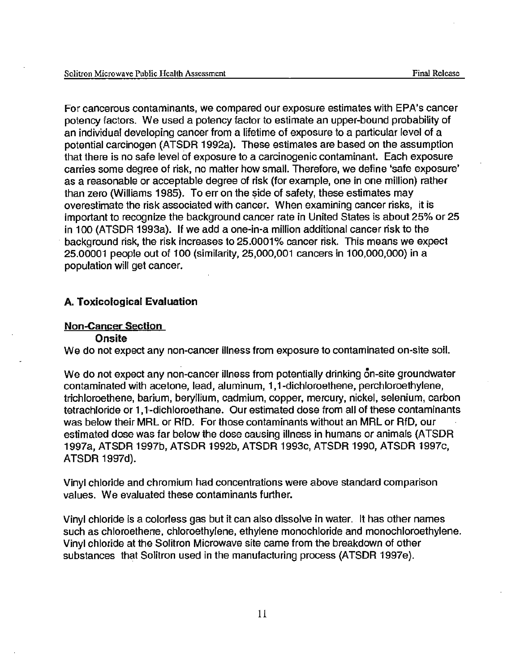For cancerous contaminants, we compared our exposure estimates with EPA's cancer potency factors. We used a potency factor to estimate an upper-bound probability of an individual developing cancer from a lifetime of exposure to a particular level of a potential carcinogen (ATSDA 1992a). These estimates are based on the assumption that there is no safe level of exposure to a carcinogenic contaminant. Each exposure carries some degree of risk, no matter how small. Therefore, we define 'safe exposure' as a reasonable or acceptable degree of risk (for example, one in one million) rather than zero (Williams 1985). To err on the side of safety, these estimates may overestimate the risk associated with cancer. When examining cancer risks, it is important to recognize the background cancer rate in United States is about 25% or 25 in 100 (ATSDA 1993a). If we add a one-in-a million additional cancer risk to the background risk, the risk increases to 25.0001% cancer risk. This means we expect 25.00001 people out of 100 (similarity, 25,000,001 cancers in 1 00,000,000) in a population will get cancer.

#### A. Toxicological Evaluation

#### Non-Cancer Section

#### **Onsite**

We do not expect any non-cancer illness from exposure to contaminated on-site soil.

We do not expect any non-cancer illness from potentially drinking on-site groundwater contaminated with acetone, lead, aluminum, 1, 1-dichloroethene, perchloroethylene, trichloroethene, barium, beryllium, cadmium, copper, mercury, nickel, selenium, carbon tetrachloride or 1,1-dichloroethane. Our estimated dose from all of these contaminants was below their MAL or AfD. For those contaminants without an MAL or AfD, our estimated dose was far below the dose causing illness in humans or animals (ATSDA 1997a, ATSDA 1997b, ATSDA 1992b, ATSDA 1993c, ATSDA 1990, ATSDA 1997c, ATSDA 1997d).

Vinyl chloride and chromium had concentrations were above standard comparison values. We evaluated these contaminants further.

Vinyl chloride is a colorless gas but it can also dissolve in water . . It has other names such as chloroethene, chloroethylene, ethylene monochloride and monochloroethylene. Vinyl chloride at the Solitron Microwave site came from the breakdown of other substances that Solitron used in the manufacturing process (ATSDA 1997e).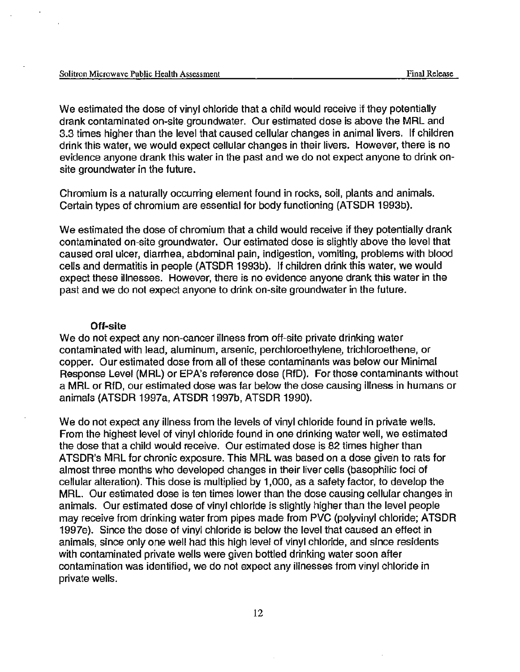We estimated the dose of vinyl chloride that a child would receive if they potentially drank contaminated on-site groundwater. Our estimated dose is above the MRL and 3.3 times higher than the level that caused cellular changes in animal livers. If children drink this water, we would expect cellular changes in their livers. However, there is no evidence anyone drank this water in the past and we do not expect anyone to drink onsite groundwater in the future.

Chromium is a naturally occurring element found in rocks, soil, plants and animals. Certain types of chromium are essential for body functioning (ATSDR 1993b).

We estimated the dose of chromium that a child would receive if they potentially drank contaminated on-site groundwater. Our estimated dose is slightly above the level that caused oral ulcer, diarrhea, abdominal pain, indigestion, vomiting, problems with blood cells and dermatitis in people (ATSDR 1993b). If children drink this water, we would expect these illnesses. However, there is no evidence anyone drank this water in the past and we do not expect anyone to drink on-site groundwater in the future.

#### Off-site

We do not expect any non-cancer illness from off-site private drinking water contaminated with lead, aluminum, arsenic, perchloroethylene, trichloroethene, or copper. Our estimated dose from all of these contaminants was below our Minimal Response Level (MRL) or EPA's reference dose (RfD). For those contaminants without a MRL or RfD, our estimated dose was far below the dose causing illness in humans or animals (ATSDR 1997a, ATSDR 1997b, ATSDR 1990).

We do not expect any illness from the levels of vinyl chloride found in private wells. From the highest level of vinyl chloride found in one drinking water well, we estimated the dose that a child would receive. Our estimated dose is 82 times higher than ATSDR's MRL for chronic exposure. This MRL was based on a dose given to rats for almost three months who developed changes in their liver cells (basophilic foci of cellular alteration). This dose is multiplied by 1 ,000, as a safety factor, to develop the MRL. Our estimated dose is ten times lower than the dose causing cellular changes in animals. Our estimated dose of vinyl chloride is slightly higher than the level people may receive from drinking water from pipes made from PVC (polyvinyl chloride; ATSDR 1997e). Since the dose of vinyl chloride is below the level that caused an effect in animals, since only one well had this high level of vinyl chloride, and since residents with contaminated private wells were given bottled drinking water soon after contamination was identified, we do not expect any illnesses from vinyl chloride in private wells.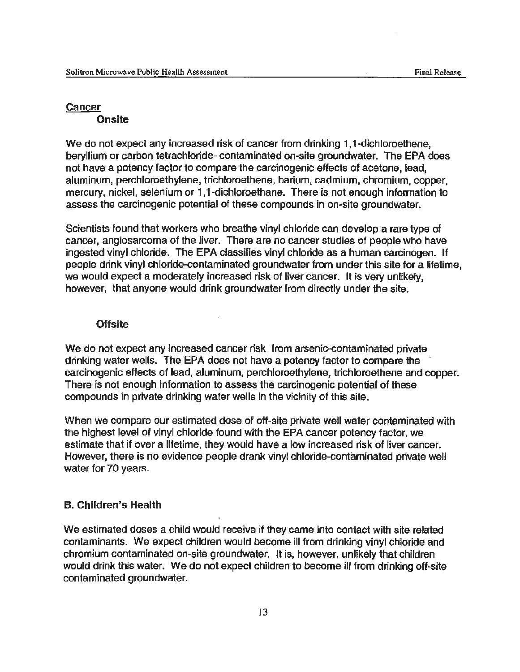#### **Cancer**

**Onsite** 

We do not expect any increased risk of cancer from drinking 1,1-dichloroethene, beryllium or carbon tetrachloride- contaminated on-site groundwater. The EPA does not have a potency factor to compare the carcinogenic effects of acetone, lead, aluminum, perchloroethylene, trichloroethane, barium, cadmium, chromium, copper, mercury, nickel, selenium or 1,1-dichloroethane. There is not enough information to assess the carcinogenic potential of these compounds in on-site groundwater.

Scientists found that workers who breathe vinyl chloride can develop a rare type of cancer, angiosarcoma of the liver. There are no cancer studies of people who have ingested vinyl chloride. The EPA classifies vinyl chloride as a human carcinogen. If people drink vinyl chloride-contaminated groundwater from under this site for a lifetime, we would expect a moderately increased risk of liver cancer. It is very unlikely, however, that anyone would drink groundwater from directly under the site.

#### **Offsite**

We do not expect any increased cancer risk from arsenic-contaminated private drinking water wells. The EPA does not have a potency factor to compare the carcinogenic effects of lead, aluminum, perchloroethylene, trichloroethane and copper. There is not enough information to assess the carcinogenic potential of these compounds in private drinking water wells in the vicinity of this site.

When we compare our estimated dose of off-site private well water contaminated with the highest level of vinyl chloride found with the EPA cancer potency factor, we estimate that if over a lifetime, they would have a low increased risk of liver cancer. However, there is no evidence people drank vinyl chloride-contaminated private well water for 70 years.

#### B. Children's Health

We estimated doses a child would receive if they came into contact with site related contaminants. We expect children would become ill from drinking vinyl chloride and chromium contaminated on-site groundwater. It is, however, unlikely that children would drink this water. We do not expect children to become ill from drinking off-site contaminated groundwater.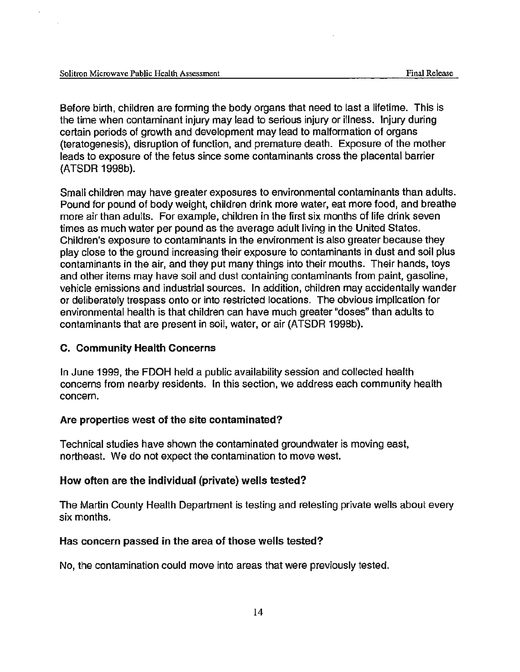Before birth, children are forming the body organs that need to last a lifetime. This is the time when contaminant injury may lead to serious injury or illness. Injury during certain periods of growth and development may lead to malformation of organs (teratogenesis), disruption of function, and premature death. Exposure of the mother leads to exposure of the fetus since some contaminants cross the placental barrier (ATSDR 1998b).

Small children may have greater exposures to environmental contaminants than adults. Pound for pound of body weight, children drink more water, eat more food, and breathe more air than adults. For example, children in the first six months of life drink seven times as much water per pound as the average adult living in the United States. Children's exposure to contaminants in the environment is also greater because they play close to the ground increasing their exposure to contaminants in dust and soil plus contaminants in the air, and they put many things into their mouths. Their hands, toys and other items may have soil and dust containing contaminants from paint, gasoline, vehicle emissions and industrial sources. In addition, children may accidentally wander or deliberately trespass onto or into restricted locations. The obvious implication for environmental health is that children can have much greater "doses" than adults to contaminants that are present in soil, water, or air (ATSDR 1998b).

#### C. Community Health Concerns

In June 1999, the FDOH held a public availability session and collected health concerns from nearby residents. In this section, we address each community health concern.

#### Are properties west of the site contaminated?

Technical studies have shown the contaminated groundwater is moving east, northeast. We do not expect the contamination to move west.

#### How often are the individual (private) wells tested?

The Martin County Health Department is testing and retesting private wells about every six months.

#### Has concern passed in the area of those wells tested?

No, the contamination could move into areas that were previously tested.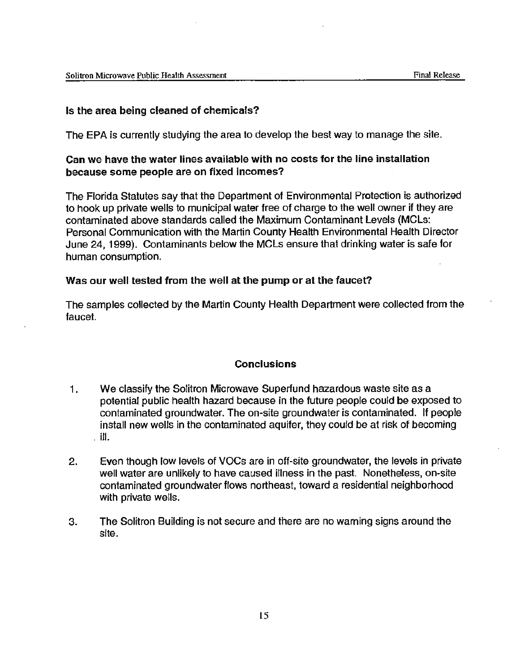## Is the area being cleaned of chemicals?

The EPA is currently studying the area to develop the best way to manage the site.

## Can we have the water lines available with no costs for the line installation because some people are on fixed incomes?

The Florida Statutes say that the Department of Environmental Protection is authorized to hook up private wells to municipal water free of charge to the well owner if they are contaminated above standards called the Maximum Contaminant Levels (MCLs: Personal Communication with the Martin County Health Environmental Health Director June 24, 1999). Contaminants below the MCLs ensure that drinking water is safe for human consumption.

## Was our well tested from the well at the pump or at the faucet?

The samples collected by the Martin County Health Department were collected from the faucet.

## **Conclusions**

- 1. We classify the Solitron Microwave Superfund hazardous waste site as a potential public health hazard because in the future people could be exposed to contaminated groundwater. The on-site groundwater is contaminated. If people install new wells in the contaminated aquifer, they could be at risk of becoming . ill.
- 2. Even though low levels of VOCs are in off-site groundwater, the levels in private well water are unlikely to have caused illness in the past. Nonetheless, on-site contaminated groundwater flows northeast, toward a residential neighborhood with private wells.
- 3. The Solitron Building is not secure and there are no warning signs around the site.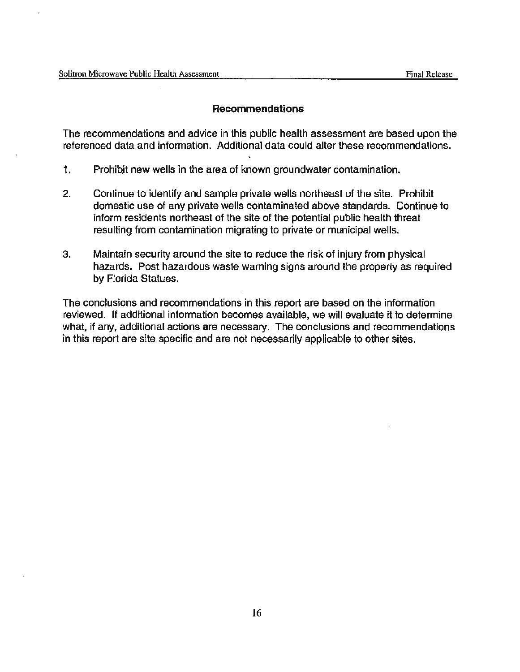## **Recommendations**

The recommendations and advice in this public health assessment are based upon the referenced data and information. Additional data could alter these recommendations.

- 1. Prohibit new wells in the area of known groundwater contamination.
- 2. Continue to identify and sample private wells northeast of the site. Prohibit domestic use of any private wells contaminated above standards. Continue to inform residents northeast of the site of the potential public health threat resulting from contamination migrating to private or municipal wells.
- 3. Maintain security around the site to reduce the risk of injury from physical hazards. Post hazardous waste warning signs around the property as required by Florida Statues.

The conclusions and recommendations in this report are based on the information reviewed. If additional information becomes available, we will evaluate it to determine what, if any, additional actions are necessary. The conclusions and recommendations in this report are site specific and are not necessarily applicable to other sites.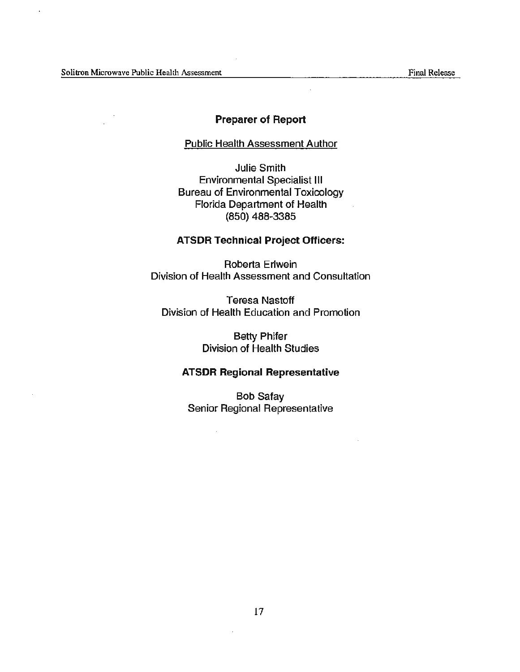#### Preparer of Report

#### Public Health Assessment Author

Julie Smith Environmental Specialist Ill Bureau of Environmental Toxicology Florida Department of Health (850) 488-3385

#### ATSDR Technical Project Officers:

Roberta Erlwein Division of Health Assessment and Consultation

Teresa Nastoft Division of Health Education and Promotion

> Betty Phifer Division of Health Studies

## ATSDR Regional Representative

Bob Safay Senior Regional Representative

 $\mathcal{L}^{\mathcal{A}}$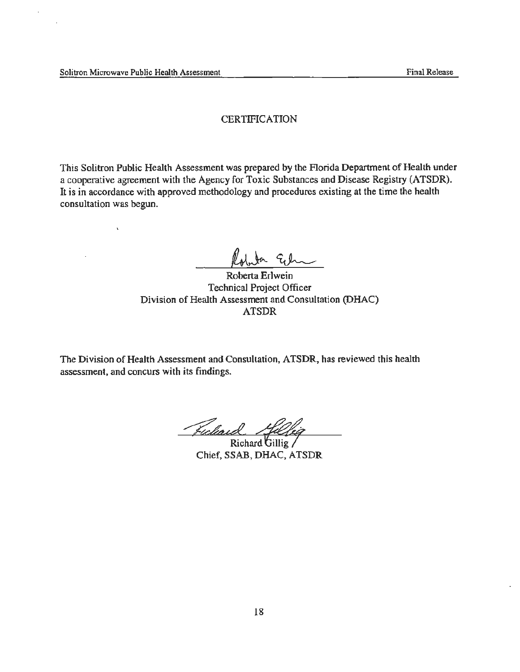$\bar{\mathbf{v}}$ 

#### **CERTIFICATION**

This Solitron Public Health Assessment was prepared by the Florida Department of Health under a cooperative agreement with the Agency for Toxic Substances and Disease Registry (ATSDR). It is in accordance with approved methodology and procedures existing at the time the health consultation was begun.

In Ech

Roberta Erlwein rechnical Project Officer Division of Health Assessment and Consultation (DHAC) ATSDR

The Division of Health Assessment and Consultation, ATSDR, has reviewed this health assessment, and concurs with its findings.

Ficliai

Richard Gillig Chief, SSAB, DHAC, ATSDR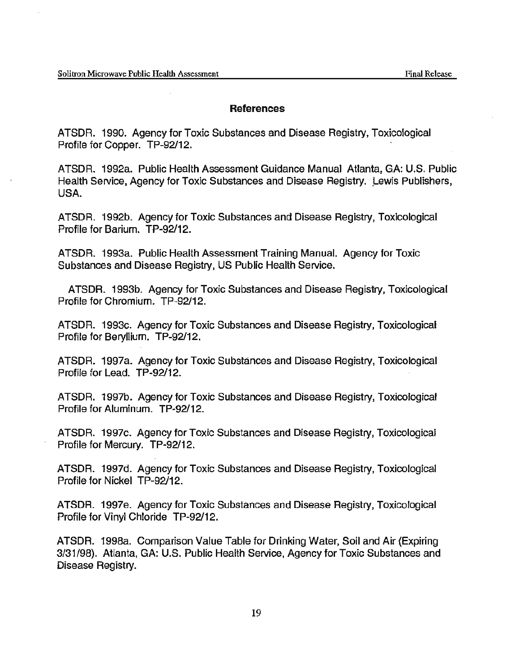#### **References**

ATSDR. 1990. Agency for Toxic Substances and Disease Registry, Toxicological Profile for Copper. TP-92/12.

ATSDR. 1992a. Public Health Assessment Guidance Manual Atlanta, GA: U.S. Public Health Service, Agency for Toxic Substances and Disease Registry. Lewis Publishers, USA.

ATSDR. 1992b. Agency for Toxic Substances and Disease Registry, Toxicological Profile for Barium. TP-92/12.

ATSDR. 1993a. Public Health Assessment Training Manual. Agency for Toxic Substances and Disease Registry, US Public Health Service.

ATSDR. 1993b. Agency for Toxic Substances and Disease Registry, Toxicological Profile for Chromium. TP-92/12.

ATSDR. 1993c. Agency for Toxic Substances and Disease Registry, Toxicological Profile for Beryllium. TP-92/12.

ATSDR. 1997a. Agency for Toxic Substances and Disease Registry, Toxicological Profile for Lead. TP-92/12.

ATSDR. 1997b. Agency for Toxic Substances and Disease Registry, Toxicological Profile for Aluminum. TP-92/12.

ATSDR. 1997c. Agency for Toxic Substances and Disease Registry, Toxicological Profile for Mercury. TP-92/12.

ATSDR. 1997d. Agency for Toxic Substances and Disease Registry, Toxicological Profile for Nickel TP-92/12.

ATSDR. 1997e. Agency for Toxic Substances and Disease Registry, Toxicological Profile for Vinyl Chloride TP-92/12.

ATSDR. 1998a. Comparison Value Table for Drinking Water, Soil and Air (Expiring 3/31/98). Atlanta, GA: U.S. Public Health Service, Agency for Toxic Substances and Disease Registry.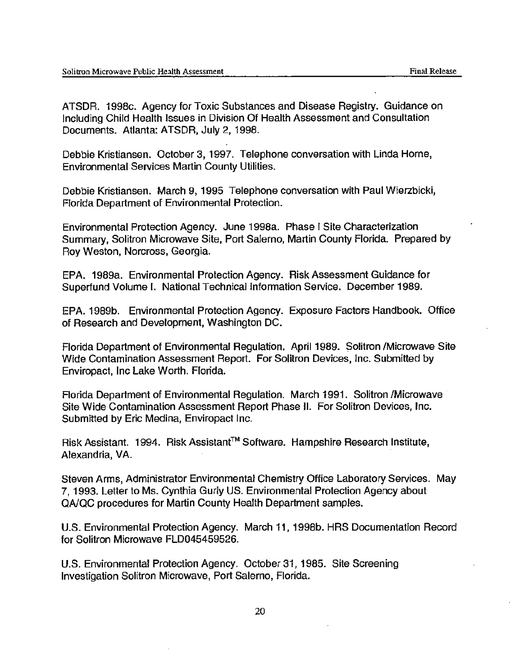ATSDR. 1998c. Agency for Toxic Substances and Disease Registry. Guidance on Including Child Health Issues in Division Of Health Assessment and Consultation Documents. Atlanta: ATSDR, July 2, 1998.

Debbie Kristiansen. October 3, 1997. Telephone conversation with Linda Horne, Environmental Services Martin County Utilities.

Debbie Kristiansen. March 9, 1995 Telephone conversation with Paul Wierzbicki, Florida Department of Environmental Protection.

Environmental Protection Agency. June 1998a. Phase I Site Characterization Summary, Solitron Microwave Site, Port Salerno, Martin County Florida. Prepared by Roy Weston, Norcross, Georgia.

EPA. 1989a. Environmental Protection Agency. Risk Assessment Guidance for Superfund Volume I. National Technical Information Service. December 1989.

EPA. 1989b. Environmental Protection Agency. Exposure Factors Handbook. Office of Research and Development, Washington DC.

Florida Department of Environmental Regulation. April 1989. \$olitron /Microwave Site Wide Contamination Assessment Report. For Solitron Devices, Inc. Submitted by Enviropact, Inc Lake Worth. Florida.

Florida Department of Environmental Regulation. March 1991. Solitron /Microwave · Site Wide Contamination Assessment Report Phase II. For Solitron Devices, Inc. Submitted by Eric Medina, Enviropact Inc.

Risk Assistant. 1994. Risk Assistant™ Software. Hampshire Research Institute, Alexandria, VA.

Steven Arms, Administrator Environmental Chemistry Office Laboratory Services. May 7, 1993. Letter to Ms. Cynthia Gurly US. Environmental Protection Agency about QA/QC procedures for Martin County Health Department samples.

U.S. Environmental Protection Agency. March 11, 1998b. HRS Documentation Record for Solitron Microwave FLD045459526.

U.S. Environmental Protection Agency. October 31, 1985. Site Screening Investigation Solitron Microwave, Port Salerno, Florida.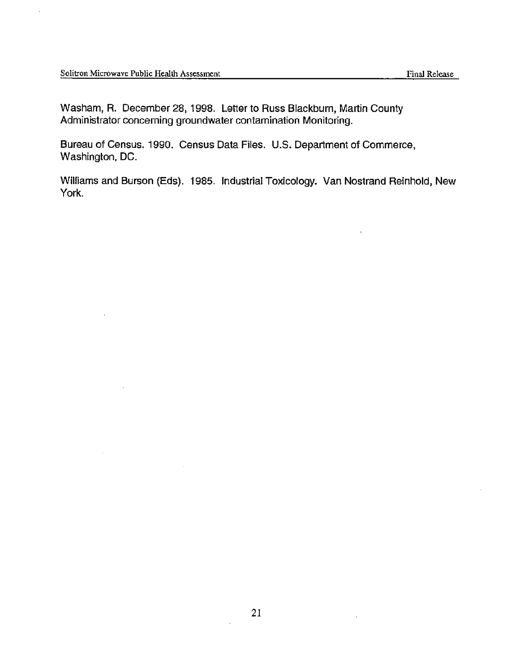$\mathbf{r}$ 

Washam, R. December 28, 1998. Letter to Russ Blackburn, Martin County Administrator concerning groundwater contamination Monitoring.

Bureau of Census. 1990. Census Data Files. U.S. Department of Commerce, Washington, DC.

Williams and Burson (Eds). 1985. Industrial Toxicology. Van Nostrand Reinhold, New York.

 $\overline{\phantom{a}}$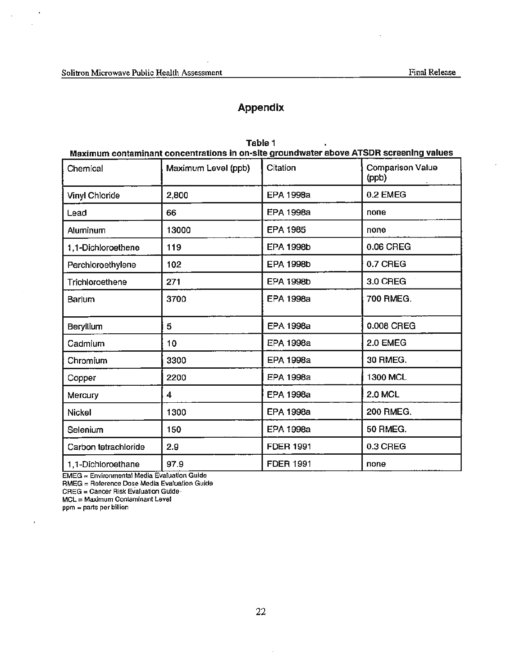$\overline{\phantom{a}}$ 

 $\overline{a}$ 

 $\sim$  .

# Appendix

 $\sim$ 

| Maximum contaminant concentrations in on-site groundwater above ATSDR screening values |                     |                       |                                  |  |  |
|----------------------------------------------------------------------------------------|---------------------|-----------------------|----------------------------------|--|--|
| Chemical                                                                               | Maximum Level (ppb) | Citation              | <b>Comparison Value</b><br>(ppb) |  |  |
| Vinyl Chloride                                                                         | 2,800               | 0.2 EMEG<br>EPA 1998a |                                  |  |  |
| Lead                                                                                   | 66                  | <b>EPA 1998a</b>      | none                             |  |  |
| Aluminum                                                                               | 13000               | <b>EPA 1985</b>       | поле                             |  |  |
| 1,1-Dichloroethene                                                                     | 119                 | <b>EPA 1998b</b>      | 0.06 CREG                        |  |  |
| Perchloroethylene                                                                      | 102                 | <b>EPA 1998b</b>      | 0.7 CREG                         |  |  |
| Trichloroethene                                                                        | 271                 | <b>EPA 1998b</b>      | 3.0 CREG                         |  |  |
| Barium                                                                                 | 3700                | <b>EPA 1998a</b>      | 700 RMEG.                        |  |  |
| Beryllium                                                                              | 5                   | <b>EPA 1998a</b>      | 0.008 CREG                       |  |  |
| Cadmium                                                                                | 10                  | EPA 1998a             | 2.0 EMEG                         |  |  |
| Chromium                                                                               | 3300                | EPA 1998a             | 30 RMEG.                         |  |  |
| Copper                                                                                 | 2200                | EPA 1998a             | 1300 MCL                         |  |  |
| Mercury                                                                                | 4                   | <b>EPA 1998a</b>      | <b>2.0 MCL</b>                   |  |  |
| <b>Nickel</b>                                                                          | 1300                | <b>EPA 1998a</b>      | <b>200 RMEG.</b>                 |  |  |
| Selenium                                                                               | 150                 | <b>EPA 1998a</b>      | <b>50 RMEG.</b>                  |  |  |
| Carbon tetrachloride                                                                   | 2.9                 | <b>FDER 1991</b>      | 0.3 CREG                         |  |  |
| 1,1-Dichloroethane                                                                     | 97.9                | <b>FDER 1991</b>      | none                             |  |  |

| Table 1                                                                                |  |
|----------------------------------------------------------------------------------------|--|
| Maximum contaminant concentrations in on-site groundwater above ATSDR screening values |  |

**EMEG = Environmental Media Evaluation Guide** 

RMEG = Reference Dose Media Evaluation Guide

CREG = Cancer Risk Evaluation Guide .

MCL = Maximum Contaminant Level

ppm = parts per billion

 $\overline{t}$ 

 $\mathcal{L}_{\mathcal{A}}$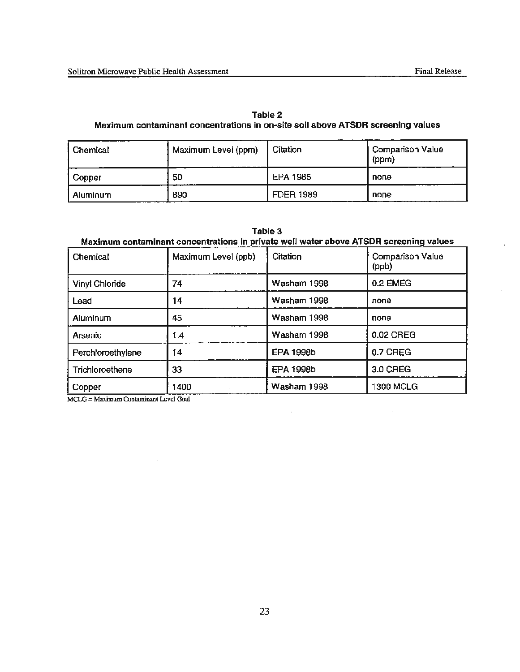$\overline{a}$ 

| Table 2                                                                         |
|---------------------------------------------------------------------------------|
| Maximum contaminant concentrations in on-site soil above ATSDR screening values |

| Chemical   | Maximum Level (ppm) | Citation         | <b>Comparison Value</b><br>(ppm) |
|------------|---------------------|------------------|----------------------------------|
| ] Copper   | 50                  | <b>EPA 1985</b>  | none                             |
| l Aluminum | 890                 | <b>FDER 1989</b> | none                             |

| Table 3<br>Maximum contaminant concentrations in private well water above ATSDR screening values |                     |                  |                           |  |
|--------------------------------------------------------------------------------------------------|---------------------|------------------|---------------------------|--|
| Chemical                                                                                         | Maximum Level (ppb) | Citation         | Comparison Value<br>(ppb) |  |
| <b>Vinyl Chloride</b>                                                                            | 74                  | Washam 1998      | 0.2 EMEG                  |  |
| Lead                                                                                             | 14                  | Washam 1998      | none                      |  |
| Aluminum                                                                                         | 45                  | Washam 1998      | none                      |  |
| Arsenic                                                                                          | 1.4                 | Washam 1998      | 0.02 CREG                 |  |
| Perchloroethylene                                                                                | 14                  | <b>EPA 1998b</b> | 0.7 CREG                  |  |
| Trichloroethene                                                                                  | 33                  | EPA 1998b        | 3.0 CREG                  |  |
| Copper                                                                                           | 1400                | Washam 1998      | <b>1300 MCLG</b>          |  |

 $\ddot{\phantom{a}}$ 

MCLG = Maximum Contaminant Level Goal

 $\mathcal{A}^{\mathcal{A}}$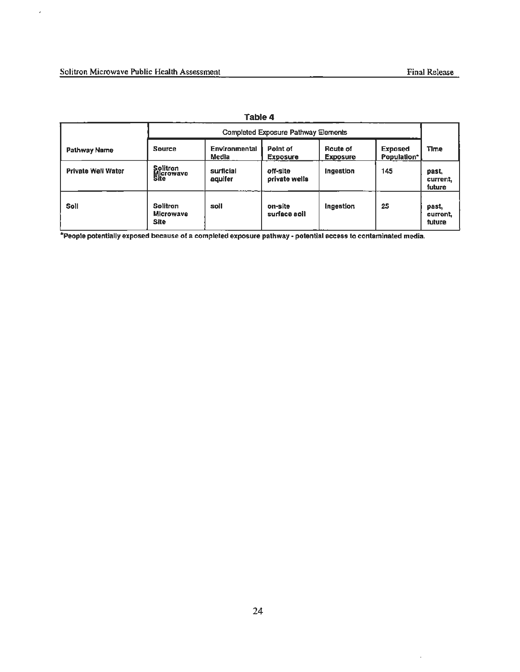$\bar{\epsilon}$ 

| Table 4                   |                                                    |                               |                               |                             |                               |                             |
|---------------------------|----------------------------------------------------|-------------------------------|-------------------------------|-----------------------------|-------------------------------|-----------------------------|
|                           | <b>Completed Exposure Pathway Elements</b>         |                               |                               |                             |                               |                             |
| Pathway Name              | <b>Source</b>                                      | <b>Environmental</b><br>Media | Point of<br><b>Exposure</b>   | Route of<br><b>Exposure</b> | <b>Exposed</b><br>Population* | <b>Time</b>                 |
| <b>Private Well Water</b> | <b>Solitron</b><br>Microwave<br>Site               | surficial<br>aquifer          | off-site<br>private wells     | Ingestion                   | 145                           | past,<br>current,<br>future |
| Soll                      | <b>Solitron</b><br><b>Microwave</b><br><b>Site</b> | soll                          | on-site<br><b>Ilos epahuz</b> | Ingestion                   | 25                            | past.<br>current,<br>future |

\*People potentially exposed because of a completed exposure pathway - potential access to contaminated media.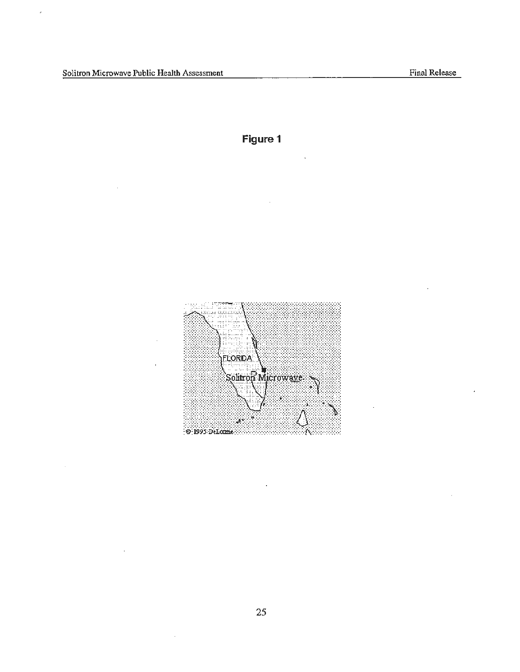$\mathbb{R}^2$ 

 $\bar{\beta}$ 



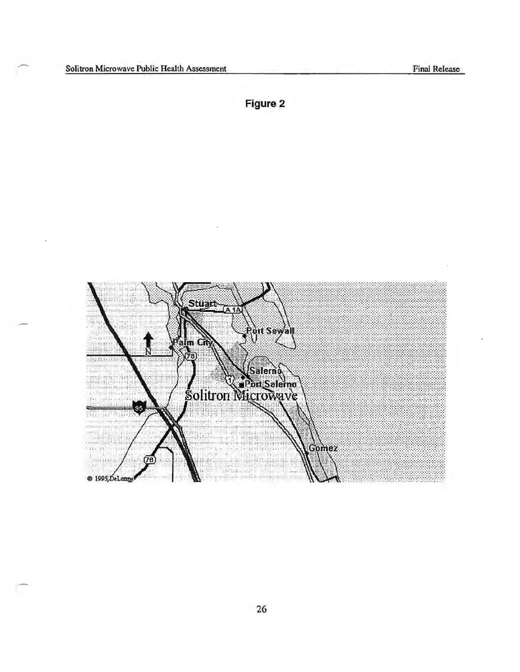$\overline{\phantom{a}}$ 

**Figure 2** 

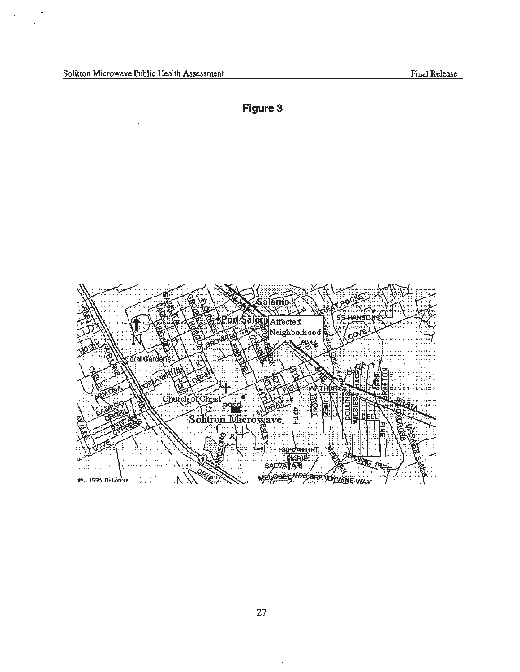$\ddot{\phantom{a}}$ 

k

l.

 $\overline{\phantom{a}}$ 

**Figure 3** 

 $\ddot{\phantom{a}}$ 



t,